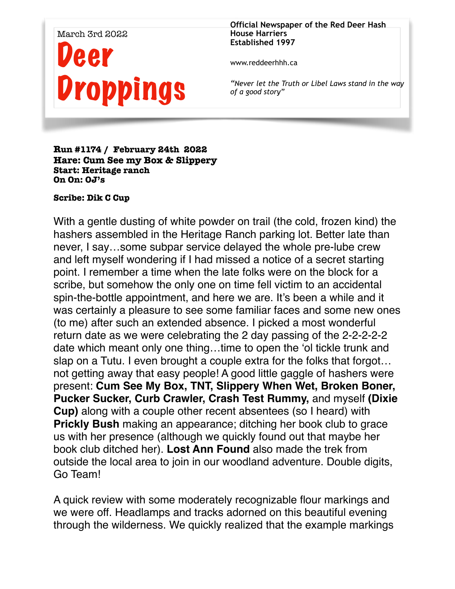## March 3rd 2022 eer Droppings

**Official Newspaper of the Red Deer Hash House Harriers Established 1997** 

www.reddeerhhh.ca

*"Never let the Truth or Libel Laws stand in the way of a good story"*

## **Run #1174 / February 24th 2022 Hare: Cum See my Box & Slippery Start: Heritage ranch On On: OJ's**

## **Scribe: Dik C Cup**

With a gentle dusting of white powder on trail (the cold, frozen kind) the hashers assembled in the Heritage Ranch parking lot. Better late than never, I say…some subpar service delayed the whole pre-lube crew and left myself wondering if I had missed a notice of a secret starting point. I remember a time when the late folks were on the block for a scribe, but somehow the only one on time fell victim to an accidental spin-the-bottle appointment, and here we are. It's been a while and it was certainly a pleasure to see some familiar faces and some new ones (to me) after such an extended absence. I picked a most wonderful return date as we were celebrating the 2 day passing of the 2-2-2-2-2 date which meant only one thing…time to open the 'ol tickle trunk and slap on a Tutu. I even brought a couple extra for the folks that forgot… not getting away that easy people! A good little gaggle of hashers were present: **Cum See My Box, TNT, Slippery When Wet, Broken Boner, Pucker Sucker, Curb Crawler, Crash Test Rummy,** and myself **(Dixie Cup)** along with a couple other recent absentees (so I heard) with **Prickly Bush** making an appearance; ditching her book club to grace us with her presence (although we quickly found out that maybe her book club ditched her). **Lost Ann Found** also made the trek from outside the local area to join in our woodland adventure. Double digits, Go Team!

A quick review with some moderately recognizable flour markings and we were off. Headlamps and tracks adorned on this beautiful evening through the wilderness. We quickly realized that the example markings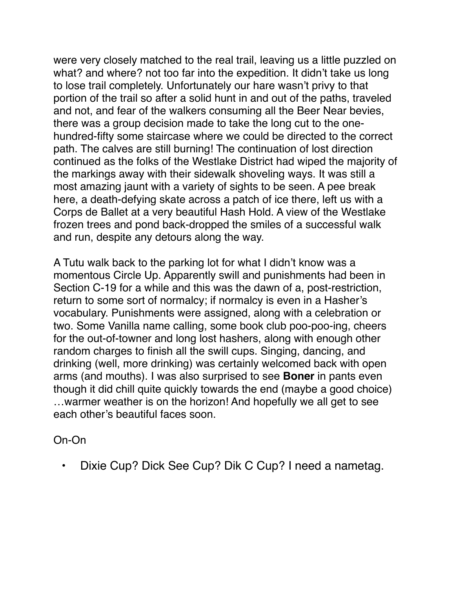were very closely matched to the real trail, leaving us a little puzzled on what? and where? not too far into the expedition. It didn't take us long to lose trail completely. Unfortunately our hare wasn't privy to that portion of the trail so after a solid hunt in and out of the paths, traveled and not, and fear of the walkers consuming all the Beer Near bevies, there was a group decision made to take the long cut to the onehundred-fifty some staircase where we could be directed to the correct path. The calves are still burning! The continuation of lost direction continued as the folks of the Westlake District had wiped the majority of the markings away with their sidewalk shoveling ways. It was still a most amazing jaunt with a variety of sights to be seen. A pee break here, a death-defying skate across a patch of ice there, left us with a Corps de Ballet at a very beautiful Hash Hold. A view of the Westlake frozen trees and pond back-dropped the smiles of a successful walk and run, despite any detours along the way.

A Tutu walk back to the parking lot for what I didn't know was a momentous Circle Up. Apparently swill and punishments had been in Section C-19 for a while and this was the dawn of a, post-restriction, return to some sort of normalcy; if normalcy is even in a Hasher's vocabulary. Punishments were assigned, along with a celebration or two. Some Vanilla name calling, some book club poo-poo-ing, cheers for the out-of-towner and long lost hashers, along with enough other random charges to finish all the swill cups. Singing, dancing, and drinking (well, more drinking) was certainly welcomed back with open arms (and mouths). I was also surprised to see **Boner** in pants even though it did chill quite quickly towards the end (maybe a good choice) …warmer weather is on the horizon! And hopefully we all get to see each other's beautiful faces soon.

## On-On

• Dixie Cup? Dick See Cup? Dik C Cup? I need a nametag.